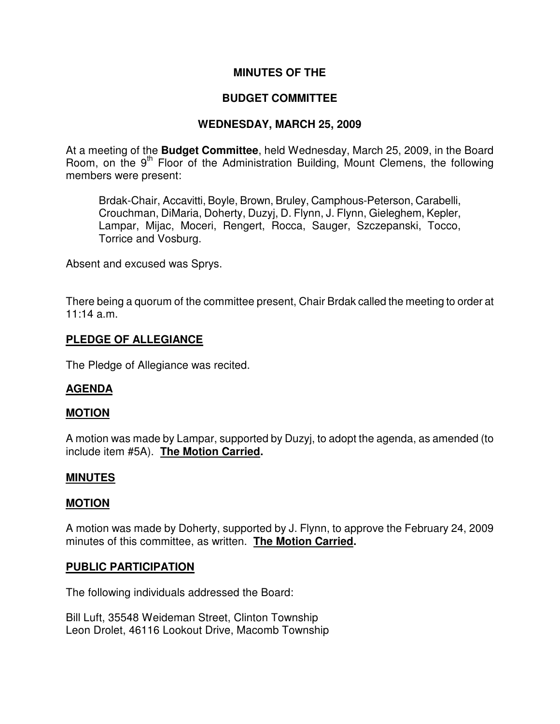### **MINUTES OF THE**

### **BUDGET COMMITTEE**

### **WEDNESDAY, MARCH 25, 2009**

At a meeting of the **Budget Committee**, held Wednesday, March 25, 2009, in the Board Room, on the 9<sup>th</sup> Floor of the Administration Building, Mount Clemens, the following members were present:

Brdak-Chair, Accavitti, Boyle, Brown, Bruley, Camphous-Peterson, Carabelli, Crouchman, DiMaria, Doherty, Duzyj, D. Flynn, J. Flynn, Gieleghem, Kepler, Lampar, Mijac, Moceri, Rengert, Rocca, Sauger, Szczepanski, Tocco, Torrice and Vosburg.

Absent and excused was Sprys.

There being a quorum of the committee present, Chair Brdak called the meeting to order at 11:14 a.m.

### **PLEDGE OF ALLEGIANCE**

The Pledge of Allegiance was recited.

### **AGENDA**

### **MOTION**

A motion was made by Lampar, supported by Duzyj, to adopt the agenda, as amended (to include item #5A). **The Motion Carried.** 

#### **MINUTES**

#### **MOTION**

A motion was made by Doherty, supported by J. Flynn, to approve the February 24, 2009 minutes of this committee, as written. **The Motion Carried.** 

#### **PUBLIC PARTICIPATION**

The following individuals addressed the Board:

Bill Luft, 35548 Weideman Street, Clinton Township Leon Drolet, 46116 Lookout Drive, Macomb Township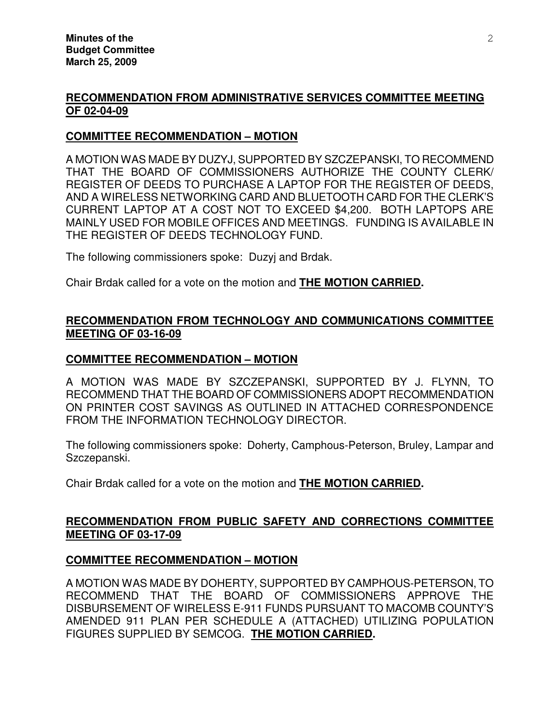### **RECOMMENDATION FROM ADMINISTRATIVE SERVICES COMMITTEE MEETING OF 02-04-09**

### **COMMITTEE RECOMMENDATION – MOTION**

A MOTION WAS MADE BY DUZYJ, SUPPORTED BY SZCZEPANSKI, TO RECOMMEND THAT THE BOARD OF COMMISSIONERS AUTHORIZE THE COUNTY CLERK/ REGISTER OF DEEDS TO PURCHASE A LAPTOP FOR THE REGISTER OF DEEDS, AND A WIRELESS NETWORKING CARD AND BLUETOOTH CARD FOR THE CLERK'S CURRENT LAPTOP AT A COST NOT TO EXCEED \$4,200. BOTH LAPTOPS ARE MAINLY USED FOR MOBILE OFFICES AND MEETINGS. FUNDING IS AVAILABLE IN THE REGISTER OF DEEDS TECHNOLOGY FUND.

The following commissioners spoke: Duzyj and Brdak.

Chair Brdak called for a vote on the motion and **THE MOTION CARRIED.** 

# **RECOMMENDATION FROM TECHNOLOGY AND COMMUNICATIONS COMMITTEE MEETING OF 03-16-09**

### **COMMITTEE RECOMMENDATION – MOTION**

A MOTION WAS MADE BY SZCZEPANSKI, SUPPORTED BY J. FLYNN, TO RECOMMEND THAT THE BOARD OF COMMISSIONERS ADOPT RECOMMENDATION ON PRINTER COST SAVINGS AS OUTLINED IN ATTACHED CORRESPONDENCE FROM THE INFORMATION TECHNOLOGY DIRECTOR.

The following commissioners spoke: Doherty, Camphous-Peterson, Bruley, Lampar and Szczepanski.

Chair Brdak called for a vote on the motion and **THE MOTION CARRIED.** 

# **RECOMMENDATION FROM PUBLIC SAFETY AND CORRECTIONS COMMITTEE MEETING OF 03-17-09**

### **COMMITTEE RECOMMENDATION – MOTION**

A MOTION WAS MADE BY DOHERTY, SUPPORTED BY CAMPHOUS-PETERSON, TO RECOMMEND THAT THE BOARD OF COMMISSIONERS APPROVE THE DISBURSEMENT OF WIRELESS E-911 FUNDS PURSUANT TO MACOMB COUNTY'S AMENDED 911 PLAN PER SCHEDULE A (ATTACHED) UTILIZING POPULATION FIGURES SUPPLIED BY SEMCOG. **THE MOTION CARRIED.**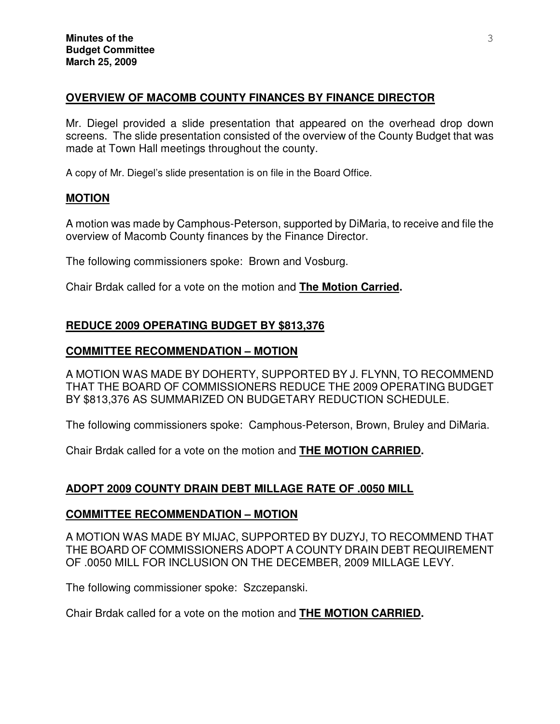### **OVERVIEW OF MACOMB COUNTY FINANCES BY FINANCE DIRECTOR**

Mr. Diegel provided a slide presentation that appeared on the overhead drop down screens. The slide presentation consisted of the overview of the County Budget that was made at Town Hall meetings throughout the county.

A copy of Mr. Diegel's slide presentation is on file in the Board Office.

### **MOTION**

A motion was made by Camphous-Peterson, supported by DiMaria, to receive and file the overview of Macomb County finances by the Finance Director.

The following commissioners spoke: Brown and Vosburg.

Chair Brdak called for a vote on the motion and **The Motion Carried.** 

### **REDUCE 2009 OPERATING BUDGET BY \$813,376**

### **COMMITTEE RECOMMENDATION – MOTION**

A MOTION WAS MADE BY DOHERTY, SUPPORTED BY J. FLYNN, TO RECOMMEND THAT THE BOARD OF COMMISSIONERS REDUCE THE 2009 OPERATING BUDGET BY \$813,376 AS SUMMARIZED ON BUDGETARY REDUCTION SCHEDULE.

The following commissioners spoke: Camphous-Peterson, Brown, Bruley and DiMaria.

Chair Brdak called for a vote on the motion and **THE MOTION CARRIED.** 

# **ADOPT 2009 COUNTY DRAIN DEBT MILLAGE RATE OF .0050 MILL**

### **COMMITTEE RECOMMENDATION – MOTION**

A MOTION WAS MADE BY MIJAC, SUPPORTED BY DUZYJ, TO RECOMMEND THAT THE BOARD OF COMMISSIONERS ADOPT A COUNTY DRAIN DEBT REQUIREMENT OF .0050 MILL FOR INCLUSION ON THE DECEMBER, 2009 MILLAGE LEVY.

The following commissioner spoke: Szczepanski.

Chair Brdak called for a vote on the motion and **THE MOTION CARRIED.**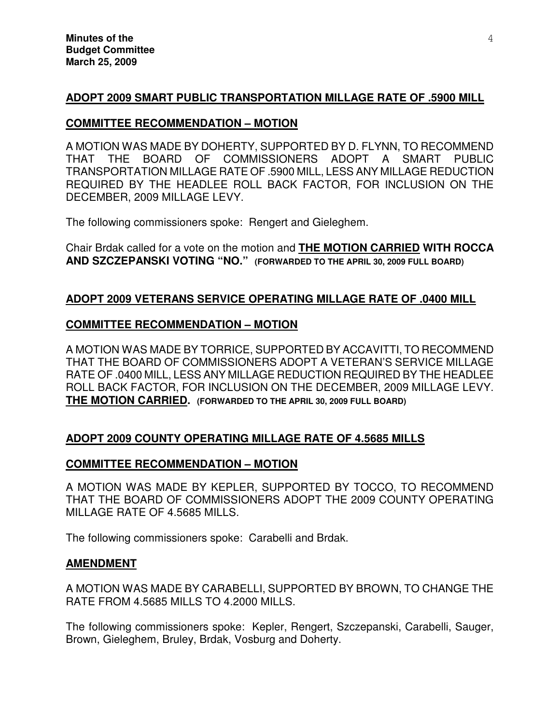# **ADOPT 2009 SMART PUBLIC TRANSPORTATION MILLAGE RATE OF .5900 MILL**

### **COMMITTEE RECOMMENDATION – MOTION**

A MOTION WAS MADE BY DOHERTY, SUPPORTED BY D. FLYNN, TO RECOMMEND THAT THE BOARD OF COMMISSIONERS ADOPT A SMART PUBLIC TRANSPORTATION MILLAGE RATE OF .5900 MILL, LESS ANY MILLAGE REDUCTION REQUIRED BY THE HEADLEE ROLL BACK FACTOR, FOR INCLUSION ON THE DECEMBER, 2009 MILLAGE LEVY.

The following commissioners spoke: Rengert and Gieleghem.

Chair Brdak called for a vote on the motion and **THE MOTION CARRIED WITH ROCCA AND SZCZEPANSKI VOTING "NO." (FORWARDED TO THE APRIL 30, 2009 FULL BOARD)**

### **ADOPT 2009 VETERANS SERVICE OPERATING MILLAGE RATE OF .0400 MILL**

### **COMMITTEE RECOMMENDATION – MOTION**

A MOTION WAS MADE BY TORRICE, SUPPORTED BY ACCAVITTI, TO RECOMMEND THAT THE BOARD OF COMMISSIONERS ADOPT A VETERAN'S SERVICE MILLAGE RATE OF .0400 MILL, LESS ANY MILLAGE REDUCTION REQUIRED BY THE HEADLEE ROLL BACK FACTOR, FOR INCLUSION ON THE DECEMBER, 2009 MILLAGE LEVY. **THE MOTION CARRIED. (FORWARDED TO THE APRIL 30, 2009 FULL BOARD)**

# **ADOPT 2009 COUNTY OPERATING MILLAGE RATE OF 4.5685 MILLS**

# **COMMITTEE RECOMMENDATION – MOTION**

A MOTION WAS MADE BY KEPLER, SUPPORTED BY TOCCO, TO RECOMMEND THAT THE BOARD OF COMMISSIONERS ADOPT THE 2009 COUNTY OPERATING MILLAGE RATE OF 4.5685 MILLS.

The following commissioners spoke: Carabelli and Brdak.

### **AMENDMENT**

A MOTION WAS MADE BY CARABELLI, SUPPORTED BY BROWN, TO CHANGE THE RATE FROM 4.5685 MILLS TO 4.2000 MILLS.

The following commissioners spoke: Kepler, Rengert, Szczepanski, Carabelli, Sauger, Brown, Gieleghem, Bruley, Brdak, Vosburg and Doherty.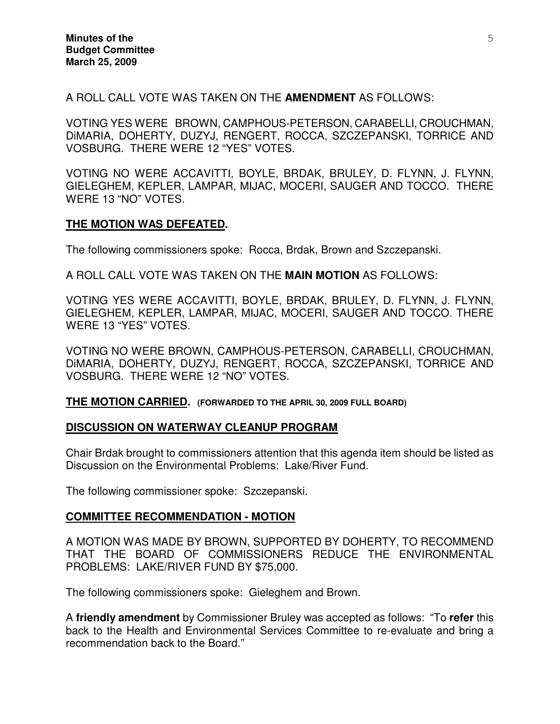A ROLL CALL VOTE WAS TAKEN ON THE **AMENDMENT** AS FOLLOWS:

VOTING YES WERE BROWN, CAMPHOUS-PETERSON, CARABELLI, CROUCHMAN, DiMARIA, DOHERTY, DUZYJ, RENGERT, ROCCA, SZCZEPANSKI, TORRICE AND VOSBURG. THERE WERE 12 "YES" VOTES.

VOTING NO WERE ACCAVITTI, BOYLE, BRDAK, BRULEY, D. FLYNN, J. FLYNN, GIELEGHEM, KEPLER, LAMPAR, MIJAC, MOCERI, SAUGER AND TOCCO. THERE WERE 13 "NO" VOTES.

### **THE MOTION WAS DEFEATED.**

The following commissioners spoke: Rocca, Brdak, Brown and Szczepanski.

A ROLL CALL VOTE WAS TAKEN ON THE **MAIN MOTION** AS FOLLOWS:

VOTING YES WERE ACCAVITTI, BOYLE, BRDAK, BRULEY, D. FLYNN, J. FLYNN, GIELEGHEM, KEPLER, LAMPAR, MIJAC, MOCERI, SAUGER AND TOCCO. THERE WERE 13 "YES" VOTES.

VOTING NO WERE BROWN, CAMPHOUS-PETERSON, CARABELLI, CROUCHMAN, DiMARIA, DOHERTY, DUZYJ, RENGERT, ROCCA, SZCZEPANSKI, TORRICE AND VOSBURG. THERE WERE 12 "NO" VOTES.

**THE MOTION CARRIED. (FORWARDED TO THE APRIL 30, 2009 FULL BOARD)**

#### **DISCUSSION ON WATERWAY CLEANUP PROGRAM**

Chair Brdak brought to commissioners attention that this agenda item should be listed as Discussion on the Environmental Problems: Lake/River Fund.

The following commissioner spoke: Szczepanski.

### **COMMITTEE RECOMMENDATION - MOTION**

A MOTION WAS MADE BY BROWN, SUPPORTED BY DOHERTY, TO RECOMMEND THAT THE BOARD OF COMMISSIONERS REDUCE THE ENVIRONMENTAL PROBLEMS: LAKE/RIVER FUND BY \$75,000.

The following commissioners spoke: Gieleghem and Brown.

A **friendly amendment** by Commissioner Bruley was accepted as follows: "To **refer** this back to the Health and Environmental Services Committee to re-evaluate and bring a recommendation back to the Board."